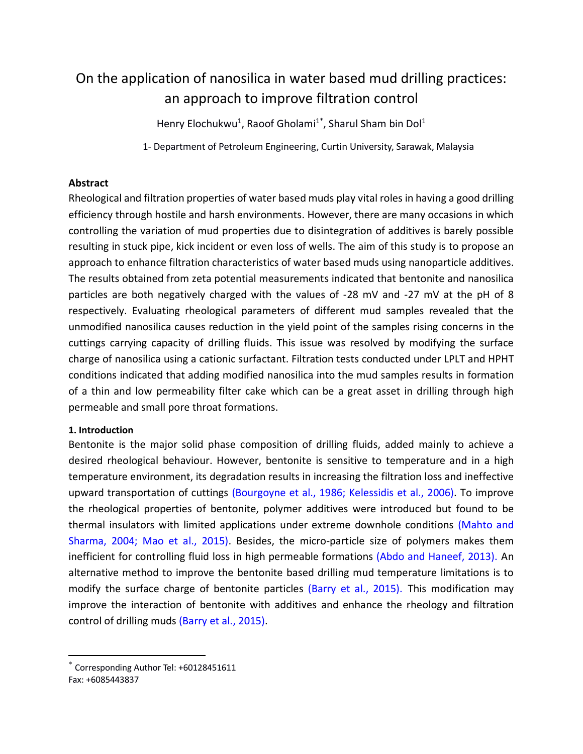# On the application of nanosilica in water based mud drilling practices: an approach to improve filtration control

Henry Elochukwu<sup>1</sup>, Raoof Gholami<sup>1\*</sup>, Sharul Sham bin Dol<sup>1</sup>

1- Department of Petroleum Engineering, Curtin University, Sarawak, Malaysia

## **Abstract**

Rheological and filtration properties of water based muds play vital roles in having a good drilling efficiency through hostile and harsh environments. However, there are many occasions in which controlling the variation of mud properties due to disintegration of additives is barely possible resulting in stuck pipe, kick incident or even loss of wells. The aim of this study is to propose an approach to enhance filtration characteristics of water based muds using nanoparticle additives. The results obtained from zeta potential measurements indicated that bentonite and nanosilica particles are both negatively charged with the values of -28 mV and -27 mV at the pH of 8 respectively. Evaluating rheological parameters of different mud samples revealed that the unmodified nanosilica causes reduction in the yield point of the samples rising concerns in the cuttings carrying capacity of drilling fluids. This issue was resolved by modifying the surface charge of nanosilica using a cationic surfactant. Filtration tests conducted under LPLT and HPHT conditions indicated that adding modified nanosilica into the mud samples results in formation of a thin and low permeability filter cake which can be a great asset in drilling through high permeable and small pore throat formations.

#### **1. Introduction**

 $\overline{\phantom{a}}$ 

Bentonite is the major solid phase composition of drilling fluids, added mainly to achieve a desired rheological behaviour. However, bentonite is sensitive to temperature and in a high temperature environment, its degradation results in increasing the filtration loss and ineffective upward transportation of cuttings (Bourgoyne et al., 1986; Kelessidis et al., 2006). To improve the rheological properties of bentonite, polymer additives were introduced but found to be thermal insulators with limited applications under extreme downhole conditions (Mahto and Sharma, 2004; Mao et al., 2015). Besides, the micro-particle size of polymers makes them inefficient for controlling fluid loss in high permeable formations (Abdo and Haneef, 2013). An alternative method to improve the bentonite based drilling mud temperature limitations is to modify the surface charge of bentonite particles (Barry et al., 2015). This modification may improve the interaction of bentonite with additives and enhance the rheology and filtration control of drilling muds (Barry et al., 2015).

<sup>\*</sup> Corresponding Author Tel: +60128451611 Fax: +6085443837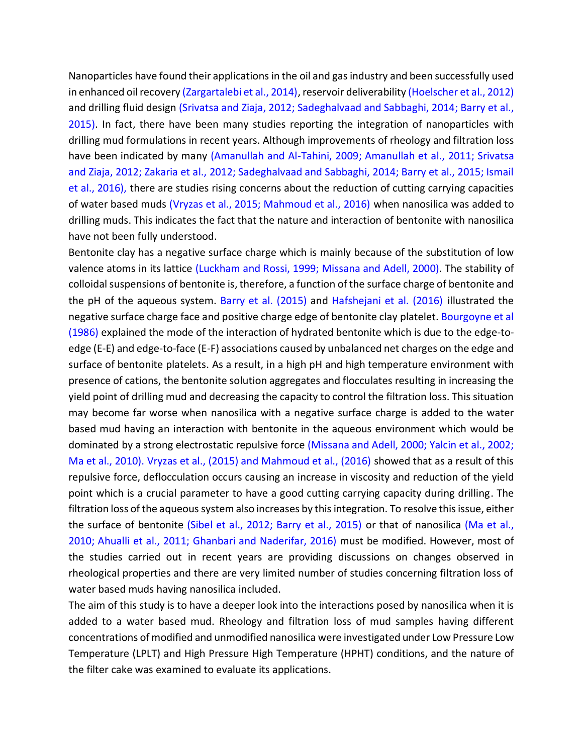Nanoparticles have found their applications in the oil and gas industry and been successfully used in enhanced oil recovery (Zargartalebi et al., 2014), reservoir deliverability (Hoelscher et al., 2012) and drilling fluid design (Srivatsa and Ziaja, 2012; Sadeghalvaad and Sabbaghi, 2014; Barry et al., 2015). In fact, there have been many studies reporting the integration of nanoparticles with drilling mud formulations in recent years. Although improvements of rheology and filtration loss have been indicated by many (Amanullah and Al-Tahini, 2009; Amanullah et al., 2011; Srivatsa and Ziaja, 2012; Zakaria et al., 2012; Sadeghalvaad and Sabbaghi, 2014; Barry et al., 2015; Ismail et al., 2016), there are studies rising concerns about the reduction of cutting carrying capacities of water based muds (Vryzas et al., 2015; Mahmoud et al., 2016) when nanosilica was added to drilling muds. This indicates the fact that the nature and interaction of bentonite with nanosilica have not been fully understood.

Bentonite clay has a negative surface charge which is mainly because of the substitution of low valence atoms in its lattice (Luckham and Rossi, 1999; Missana and Adell, 2000). The stability of colloidal suspensions of bentonite is, therefore, a function of the surface charge of bentonite and the pH of the aqueous system. Barry et al. (2015) and Hafshejani et al. (2016) illustrated the negative surface charge face and positive charge edge of bentonite clay platelet. Bourgoyne et al (1986) explained the mode of the interaction of hydrated bentonite which is due to the edge-toedge (E-E) and edge-to-face (E-F) associations caused by unbalanced net charges on the edge and surface of bentonite platelets. As a result, in a high pH and high temperature environment with presence of cations, the bentonite solution aggregates and flocculates resulting in increasing the yield point of drilling mud and decreasing the capacity to control the filtration loss. This situation may become far worse when nanosilica with a negative surface charge is added to the water based mud having an interaction with bentonite in the aqueous environment which would be dominated by a strong electrostatic repulsive force (Missana and Adell, 2000; Yalcin et al., 2002; Ma et al., 2010). Vryzas et al., (2015) and Mahmoud et al., (2016) showed that as a result of this repulsive force, deflocculation occurs causing an increase in viscosity and reduction of the yield point which is a crucial parameter to have a good cutting carrying capacity during drilling. The filtration loss of the aqueous system also increases by this integration. To resolve this issue, either the surface of bentonite (Sibel et al., 2012; Barry et al., 2015) or that of nanosilica (Ma et al., 2010; Ahualli et al., 2011; Ghanbari and Naderifar, 2016) must be modified. However, most of the studies carried out in recent years are providing discussions on changes observed in rheological properties and there are very limited number of studies concerning filtration loss of water based muds having nanosilica included.

The aim of this study is to have a deeper look into the interactions posed by nanosilica when it is added to a water based mud. Rheology and filtration loss of mud samples having different concentrations of modified and unmodified nanosilica were investigated under Low Pressure Low Temperature (LPLT) and High Pressure High Temperature (HPHT) conditions, and the nature of the filter cake was examined to evaluate its applications.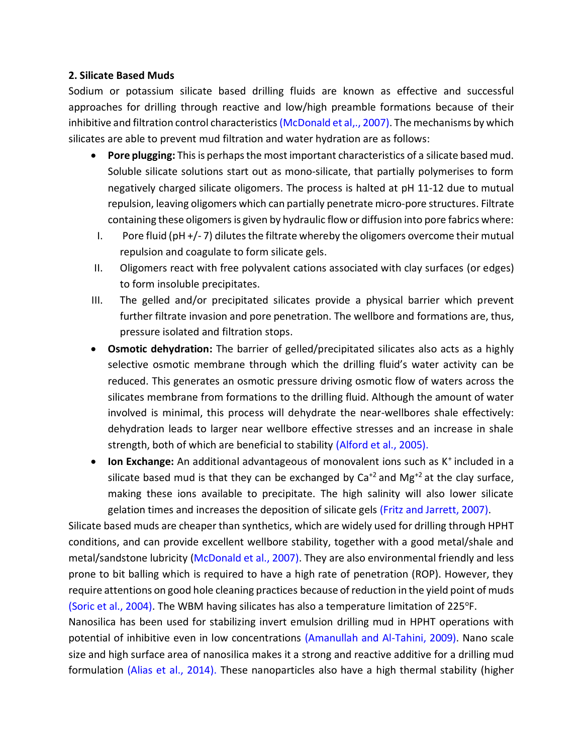#### **2. Silicate Based Muds**

Sodium or potassium silicate based drilling fluids are known as effective and successful approaches for drilling through reactive and low/high preamble formations because of their inhibitive and filtration control characteristics (McDonald et al,., 2007). The mechanisms by which silicates are able to prevent mud filtration and water hydration are as follows:

- **Pore plugging:** This is perhaps the most important characteristics of a silicate based mud. Soluble silicate solutions start out as mono-silicate, that partially polymerises to form negatively charged silicate oligomers. The process is halted at pH 11-12 due to mutual repulsion, leaving oligomers which can partially penetrate micro-pore structures. Filtrate containing these oligomers is given by hydraulic flow or diffusion into pore fabrics where:
- I. Pore fluid (pH +/- 7) dilutes the filtrate whereby the oligomers overcome their mutual repulsion and coagulate to form silicate gels.
- II. Oligomers react with free polyvalent cations associated with clay surfaces (or edges) to form insoluble precipitates.
- III. The gelled and/or precipitated silicates provide a physical barrier which prevent further filtrate invasion and pore penetration. The wellbore and formations are, thus, pressure isolated and filtration stops.
- **Osmotic dehydration:** The barrier of gelled/precipitated silicates also acts as a highly selective osmotic membrane through which the drilling fluid's water activity can be reduced. This generates an osmotic pressure driving osmotic flow of waters across the silicates membrane from formations to the drilling fluid. Although the amount of water involved is minimal, this process will dehydrate the near-wellbores shale effectively: dehydration leads to larger near wellbore effective stresses and an increase in shale strength, both of which are beneficial to stability (Alford et al., 2005).
- **Ion Exchange:** An additional advantageous of monovalent ions such as K<sup>+</sup> included in a silicate based mud is that they can be exchanged by  $Ca^{+2}$  and Mg<sup>+2</sup> at the clay surface, making these ions available to precipitate. The high salinity will also lower silicate gelation times and increases the deposition of silicate gels (Fritz and Jarrett, 2007).

Silicate based muds are cheaper than synthetics, which are widely used for drilling through HPHT conditions, and can provide excellent wellbore stability, together with a good metal/shale and metal/sandstone lubricity (McDonald et al., 2007). They are also environmental friendly and less prone to bit balling which is required to have a high rate of penetration (ROP). However, they require attentions on good hole cleaning practices because of reduction in the yield point of muds (Soric et al., 2004). The WBM having silicates has also a temperature limitation of 225°F.

Nanosilica has been used for stabilizing invert emulsion drilling mud in HPHT operations with potential of inhibitive even in low concentrations (Amanullah and Al-Tahini, 2009). Nano scale size and high surface area of nanosilica makes it a strong and reactive additive for a drilling mud formulation (Alias et al., 2014). These nanoparticles also have a high thermal stability (higher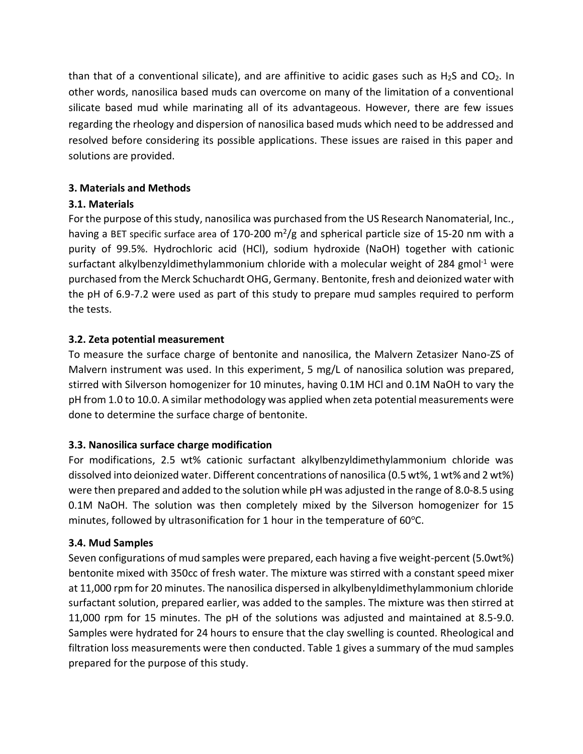than that of a conventional silicate), and are affinitive to acidic gases such as  $H_2S$  and  $CO_2$ . In other words, nanosilica based muds can overcome on many of the limitation of a conventional silicate based mud while marinating all of its advantageous. However, there are few issues regarding the rheology and dispersion of nanosilica based muds which need to be addressed and resolved before considering its possible applications. These issues are raised in this paper and solutions are provided.

## **3. Materials and Methods**

# **3.1. Materials**

For the purpose of this study, nanosilica was purchased from the US Research Nanomaterial, Inc., having a BET specific surface area of 170-200 m<sup>2</sup>/g and spherical particle size of 15-20 nm with a purity of 99.5%. Hydrochloric acid (HCl), sodium hydroxide (NaOH) together with cationic surfactant alkylbenzyldimethylammonium chloride with a molecular weight of 284 gmol<sup>-1</sup> were purchased from the Merck Schuchardt OHG, Germany. Bentonite, fresh and deionized water with the pH of 6.9-7.2 were used as part of this study to prepare mud samples required to perform the tests.

# **3.2. Zeta potential measurement**

To measure the surface charge of bentonite and nanosilica, the Malvern Zetasizer Nano-ZS of Malvern instrument was used. In this experiment, 5 mg/L of nanosilica solution was prepared, stirred with Silverson homogenizer for 10 minutes, having 0.1M HCl and 0.1M NaOH to vary the pH from 1.0 to 10.0. A similar methodology was applied when zeta potential measurements were done to determine the surface charge of bentonite.

# **3.3. Nanosilica surface charge modification**

For modifications, 2.5 wt% cationic surfactant alkylbenzyldimethylammonium chloride was dissolved into deionized water. Different concentrations of nanosilica (0.5 wt%, 1 wt% and 2 wt%) were then prepared and added to the solution while pH was adjusted in the range of 8.0-8.5 using 0.1M NaOH. The solution was then completely mixed by the Silverson homogenizer for 15 minutes, followed by ultrasonification for 1 hour in the temperature of  $60^{\circ}$ C.

## **3.4. Mud Samples**

Seven configurations of mud samples were prepared, each having a five weight-percent (5.0wt%) bentonite mixed with 350cc of fresh water. The mixture was stirred with a constant speed mixer at 11,000 rpm for 20 minutes. The nanosilica dispersed in alkylbenyldimethylammonium chloride surfactant solution, prepared earlier, was added to the samples. The mixture was then stirred at 11,000 rpm for 15 minutes. The pH of the solutions was adjusted and maintained at 8.5-9.0. Samples were hydrated for 24 hours to ensure that the clay swelling is counted. Rheological and filtration loss measurements were then conducted. Table 1 gives a summary of the mud samples prepared for the purpose of this study.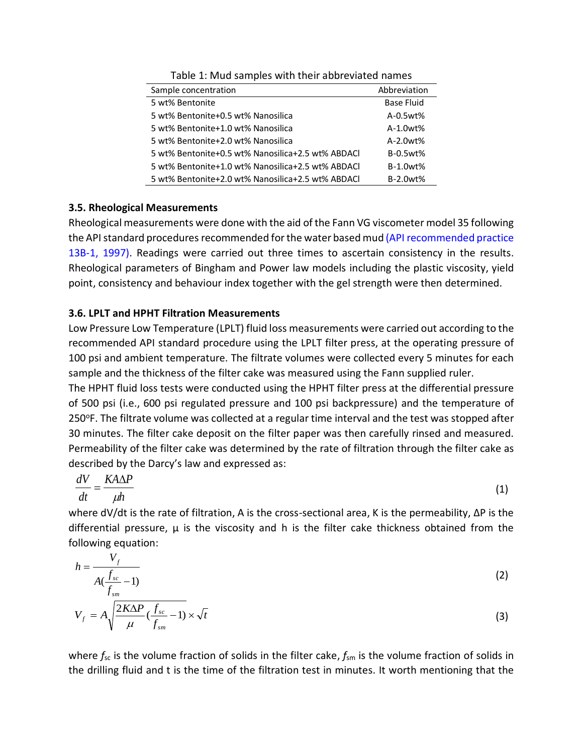| Sample concentration                              | Abbreviation      |
|---------------------------------------------------|-------------------|
| 5 wt% Bentonite                                   | <b>Base Fluid</b> |
| 5 wt% Bentonite+0.5 wt% Nanosilica                | $A-0.5wt%$        |
| 5 wt% Bentonite+1.0 wt% Nanosilica                | $A-1.0wt%$        |
| 5 wt% Bentonite+2.0 wt% Nanosilica                | $A-2.0wt%$        |
| 5 wt% Bentonite+0.5 wt% Nanosilica+2.5 wt% ABDACL | $B-0.5wt%$        |
| 5 wt% Bentonite+1.0 wt% Nanosilica+2.5 wt% ABDACL | $B-1.0wt%$        |
| 5 wt% Bentonite+2.0 wt% Nanosilica+2.5 wt% ABDACl | <b>B-2.0wt%</b>   |

Table 1: Mud samples with their abbreviated names

#### **3.5. Rheological Measurements**

Rheological measurements were done with the aid of the Fann VG viscometer model 35 following the API standard procedures recommended for the water based mud (API recommended practice 13B-1, 1997). Readings were carried out three times to ascertain consistency in the results. Rheological parameters of Bingham and Power law models including the plastic viscosity, yield point, consistency and behaviour index together with the gel strength were then determined.

#### **3.6. LPLT and HPHT Filtration Measurements**

*f*

 $\mu$ 

*sm*

Low Pressure Low Temperature (LPLT) fluid loss measurements were carried out according to the recommended API standard procedure using the LPLT filter press, at the operating pressure of 100 psi and ambient temperature. The filtrate volumes were collected every 5 minutes for each sample and the thickness of the filter cake was measured using the Fann supplied ruler.

The HPHT fluid loss tests were conducted using the HPHT filter press at the differential pressure of 500 psi (i.e., 600 psi regulated pressure and 100 psi backpressure) and the temperature of 250°F. The filtrate volume was collected at a regular time interval and the test was stopped after 30 minutes. The filter cake deposit on the filter paper was then carefully rinsed and measured. Permeability of the filter cake was determined by the rate of filtration through the filter cake as described by the Darcy's law and expressed as:

$$
\frac{dV}{dt} = \frac{K A \Delta P}{\mu h} \tag{1}
$$

where dV/dt is the rate of filtration, A is the cross-sectional area, K is the permeability, ΔP is the differential pressure,  $\mu$  is the viscosity and h is the filter cake thickness obtained from the following equation:

$$
h = \frac{V_f}{A(\frac{f_{sc}}{f_{sm}} - 1)}
$$
  
\n
$$
V_f = A \sqrt{\frac{2K\Delta P}{I}(\frac{f_{sc}}{f_{sm}} - 1)} \times \sqrt{t}
$$
\n(3)

where  $f_{\rm sc}$  is the volume fraction of solids in the filter cake,  $f_{\rm sm}$  is the volume fraction of solids in the drilling fluid and t is the time of the filtration test in minutes. It worth mentioning that the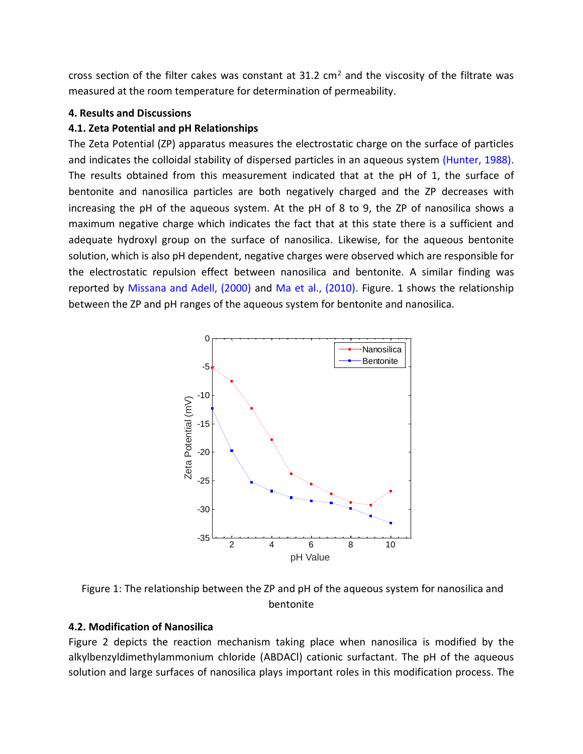cross section of the filter cakes was constant at 31.2 cm<sup>2</sup> and the viscosity of the filtrate was measured at the room temperature for determination of permeability.

## **4. Results and Discussions**

## **4.1. Zeta Potential and pH Relationships**

The Zeta Potential (ZP) apparatus measures the electrostatic charge on the surface of particles and indicates the colloidal stability of dispersed particles in an aqueous system (Hunter, 1988). The results obtained from this measurement indicated that at the pH of 1, the surface of bentonite and nanosilica particles are both negatively charged and the ZP decreases with increasing the pH of the aqueous system. At the pH of 8 to 9, the ZP of nanosilica shows a maximum negative charge which indicates the fact that at this state there is a sufficient and adequate hydroxyl group on the surface of nanosilica. Likewise, for the aqueous bentonite solution, which is also pH dependent, negative charges were observed which are responsible for the electrostatic repulsion effect between nanosilica and bentonite. A similar finding was reported by Missana and Adell, (2000) and Ma et al., (2010). Figure. 1 shows the relationship between the ZP and pH ranges of the aqueous system for bentonite and nanosilica.



Figure 1: The relationship between the ZP and pH of the aqueous system for nanosilica and bentonite

## **4.2. Modification of Nanosilica**

Figure 2 depicts the reaction mechanism taking place when nanosilica is modified by the alkylbenzyldimethylammonium chloride (ABDACl) cationic surfactant. The pH of the aqueous solution and large surfaces of nanosilica plays important roles in this modification process. The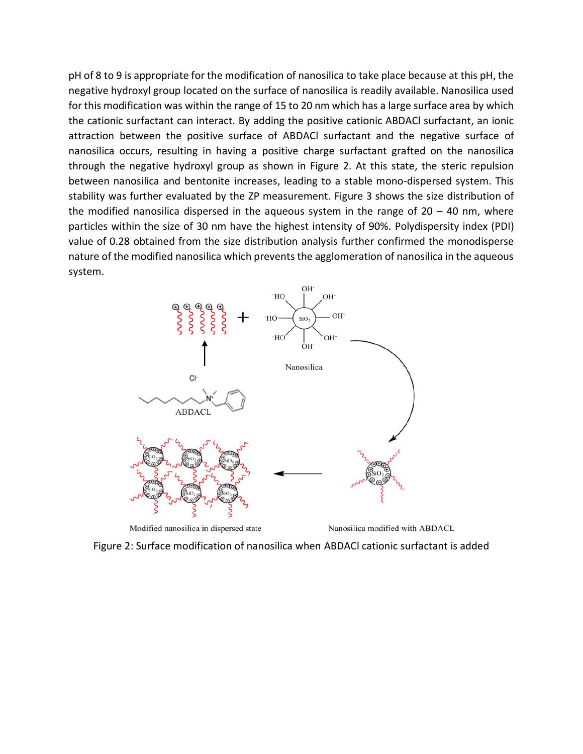pH of 8 to 9 is appropriate for the modification of nanosilica to take place because at this pH, the negative hydroxyl group located on the surface of nanosilica is readily available. Nanosilica used for this modification was within the range of 15 to 20 nm which has a large surface area by which the cationic surfactant can interact. By adding the positive cationic ABDACl surfactant, an ionic attraction between the positive surface of ABDACl surfactant and the negative surface of nanosilica occurs, resulting in having a positive charge surfactant grafted on the nanosilica through the negative hydroxyl group as shown in Figure 2. At this state, the steric repulsion between nanosilica and bentonite increases, leading to a stable mono-dispersed system. This stability was further evaluated by the ZP measurement. Figure 3 shows the size distribution of the modified nanosilica dispersed in the aqueous system in the range of  $20 - 40$  nm, where particles within the size of 30 nm have the highest intensity of 90%. Polydispersity index (PDI) value of 0.28 obtained from the size distribution analysis further confirmed the monodisperse nature of the modified nanosilica which prevents the agglomeration of nanosilica in the aqueous system.



Modified nanosilica in dispersed state

Nanosilica modified with ABDACL

Figure 2: Surface modification of nanosilica when ABDACl cationic surfactant is added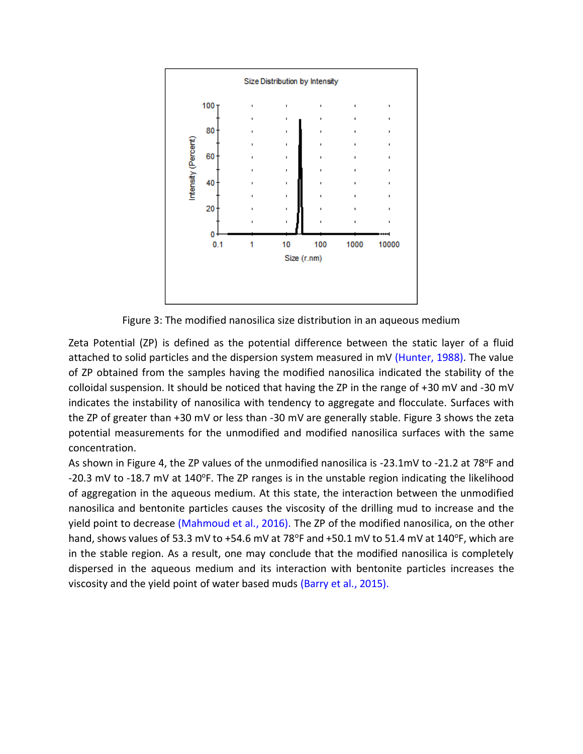

Figure 3: The modified nanosilica size distribution in an aqueous medium

Zeta Potential (ZP) is defined as the potential difference between the static layer of a fluid attached to solid particles and the dispersion system measured in mV (Hunter, 1988). The value of ZP obtained from the samples having the modified nanosilica indicated the stability of the colloidal suspension. It should be noticed that having the ZP in the range of +30 mV and -30 mV indicates the instability of nanosilica with tendency to aggregate and flocculate. Surfaces with the ZP of greater than +30 mV or less than -30 mV are generally stable. Figure 3 shows the zeta potential measurements for the unmodified and modified nanosilica surfaces with the same concentration.

As shown in Figure 4, the ZP values of the unmodified nanosilica is -23.1mV to -21.2 at 78 $^{\circ}$ F and -20.3 mV to -18.7 mV at 140°F. The ZP ranges is in the unstable region indicating the likelihood of aggregation in the aqueous medium. At this state, the interaction between the unmodified nanosilica and bentonite particles causes the viscosity of the drilling mud to increase and the yield point to decrease (Mahmoud et al., 2016). The ZP of the modified nanosilica, on the other hand, shows values of 53.3 mV to +54.6 mV at 78 $\textdegree$ F and +50.1 mV to 51.4 mV at 140 $\textdegree$ F, which are in the stable region. As a result, one may conclude that the modified nanosilica is completely dispersed in the aqueous medium and its interaction with bentonite particles increases the viscosity and the yield point of water based muds (Barry et al., 2015).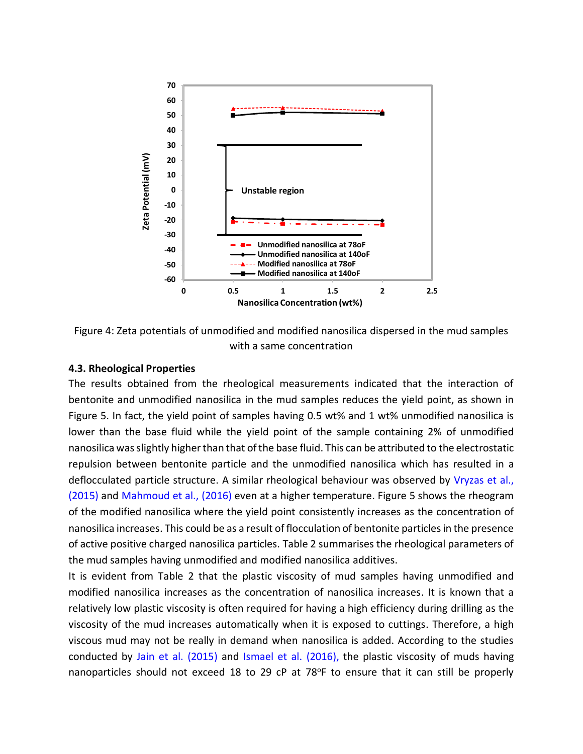

Figure 4: Zeta potentials of unmodified and modified nanosilica dispersed in the mud samples with a same concentration

#### **4.3. Rheological Properties**

The results obtained from the rheological measurements indicated that the interaction of bentonite and unmodified nanosilica in the mud samples reduces the yield point, as shown in Figure 5. In fact, the yield point of samples having 0.5 wt% and 1 wt% unmodified nanosilica is lower than the base fluid while the yield point of the sample containing 2% of unmodified nanosilica wasslightly higherthan that of the base fluid. This can be attributed to the electrostatic repulsion between bentonite particle and the unmodified nanosilica which has resulted in a deflocculated particle structure. A similar rheological behaviour was observed by Vryzas et al., (2015) and Mahmoud et al., (2016) even at a higher temperature. Figure 5 shows the rheogram of the modified nanosilica where the yield point consistently increases as the concentration of nanosilica increases. This could be as a result of flocculation of bentonite particles in the presence of active positive charged nanosilica particles. Table 2 summarises the rheological parameters of the mud samples having unmodified and modified nanosilica additives.

It is evident from Table 2 that the plastic viscosity of mud samples having unmodified and modified nanosilica increases as the concentration of nanosilica increases. It is known that a relatively low plastic viscosity is often required for having a high efficiency during drilling as the viscosity of the mud increases automatically when it is exposed to cuttings. Therefore, a high viscous mud may not be really in demand when nanosilica is added. According to the studies conducted by Jain et al. (2015) and Ismael et al. (2016), the plastic viscosity of muds having nanoparticles should not exceed 18 to 29 cP at 78°F to ensure that it can still be properly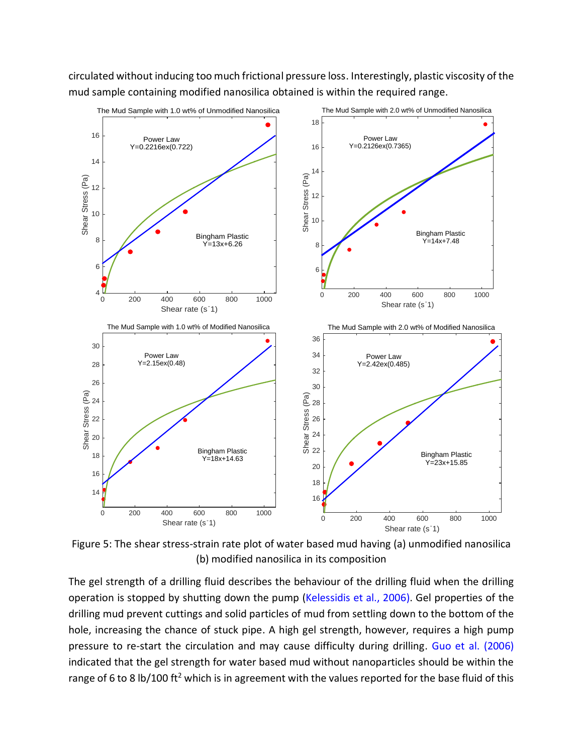circulated without inducing too much frictional pressure loss. Interestingly, plastic viscosity of the mud sample containing modified nanosilica obtained is within the required range.



Figure 5: The shear stress-strain rate plot of water based mud having (a) unmodified nanosilica (b) modified nanosilica in its composition

The gel strength of a drilling fluid describes the behaviour of the drilling fluid when the drilling operation is stopped by shutting down the pump (Kelessidis et al., 2006). Gel properties of the drilling mud prevent cuttings and solid particles of mud from settling down to the bottom of the hole, increasing the chance of stuck pipe. A high gel strength, however, requires a high pump pressure to re-start the circulation and may cause difficulty during drilling. Guo et al. (2006) indicated that the gel strength for water based mud without nanoparticles should be within the range of 6 to 8 lb/100 ft<sup>2</sup> which is in agreement with the values reported for the base fluid of this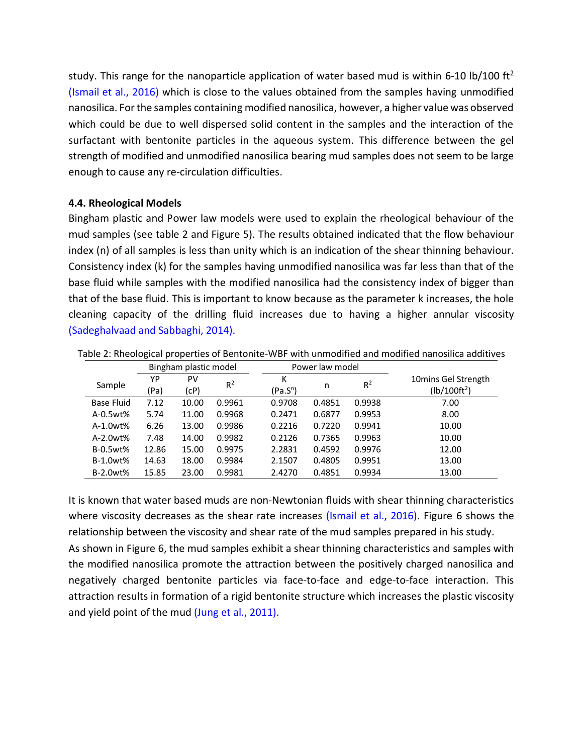study. This range for the nanoparticle application of water based mud is within 6-10 lb/100 ft<sup>2</sup> (Ismail et al., 2016) which is close to the values obtained from the samples having unmodified nanosilica. For the samples containing modified nanosilica, however, a higher value was observed which could be due to well dispersed solid content in the samples and the interaction of the surfactant with bentonite particles in the aqueous system. This difference between the gel strength of modified and unmodified nanosilica bearing mud samples does not seem to be large enough to cause any re-circulation difficulties.

#### **4.4. Rheological Models**

Bingham plastic and Power law models were used to explain the rheological behaviour of the mud samples (see table 2 and Figure 5). The results obtained indicated that the flow behaviour index (n) of all samples is less than unity which is an indication of the shear thinning behaviour. Consistency index (k) for the samples having unmodified nanosilica was far less than that of the base fluid while samples with the modified nanosilica had the consistency index of bigger than that of the base fluid. This is important to know because as the parameter k increases, the hole cleaning capacity of the drilling fluid increases due to having a higher annular viscosity (Sadeghalvaad and Sabbaghi, 2014).

|                   |            | Bingham plastic model |        | Power law model |        |        |                                       |
|-------------------|------------|-----------------------|--------|-----------------|--------|--------|---------------------------------------|
| Sample            | YP<br>(Pa) | PV<br>(cP)            | $R^2$  | Κ<br>$(Pa.S^n)$ | n      | $R^2$  | 10mins Gel Strength<br>$(lb/100ft^2)$ |
| <b>Base Fluid</b> | 7.12       | 10.00                 | 0.9961 | 0.9708          | 0.4851 | 0.9938 | 7.00                                  |
| A-0.5wt%          | 5.74       | 11.00                 | 0.9968 | 0.2471          | 0.6877 | 0.9953 | 8.00                                  |
| A-1.0wt%          | 6.26       | 13.00                 | 0.9986 | 0.2216          | 0.7220 | 0.9941 | 10.00                                 |
| $A-2.0wt%$        | 7.48       | 14.00                 | 0.9982 | 0.2126          | 0.7365 | 0.9963 | 10.00                                 |
| <b>B-0.5wt%</b>   | 12.86      | 15.00                 | 0.9975 | 2.2831          | 0.4592 | 0.9976 | 12.00                                 |
| <b>B-1.0wt%</b>   | 14.63      | 18.00                 | 0.9984 | 2.1507          | 0.4805 | 0.9951 | 13.00                                 |
| <b>B-2.0wt%</b>   | 15.85      | 23.00                 | 0.9981 | 2.4270          | 0.4851 | 0.9934 | 13.00                                 |

Table 2: Rheological properties of Bentonite-WBF with unmodified and modified nanosilica additives

It is known that water based muds are non-Newtonian fluids with shear thinning characteristics where viscosity decreases as the shear rate increases (Ismail et al., 2016). Figure 6 shows the relationship between the viscosity and shear rate of the mud samples prepared in his study. As shown in Figure 6, the mud samples exhibit a shear thinning characteristics and samples with the modified nanosilica promote the attraction between the positively charged nanosilica and negatively charged bentonite particles via face-to-face and edge-to-face interaction. This attraction results in formation of a rigid bentonite structure which increases the plastic viscosity and yield point of the mud (Jung et al., 2011).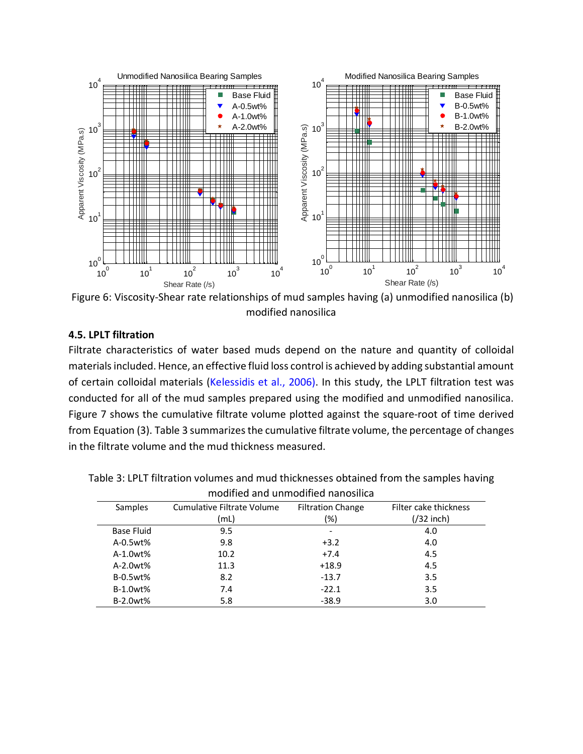

Figure 6: Viscosity-Shear rate relationships of mud samples having (a) unmodified nanosilica (b) modified nanosilica

#### **4.5. LPLT filtration**

Filtrate characteristics of water based muds depend on the nature and quantity of colloidal materials included. Hence, an effective fluid loss control is achieved by adding substantial amount of certain colloidal materials (Kelessidis et al., 2006). In this study, the LPLT filtration test was conducted for all of the mud samples prepared using the modified and unmodified nanosilica. Figure 7 shows the cumulative filtrate volume plotted against the square-root of time derived from Equation (3). Table 3 summarizes the cumulative filtrate volume, the percentage of changes in the filtrate volume and the mud thickness measured.

| modified and unmodified nanosiilda |                            |                          |                       |  |  |
|------------------------------------|----------------------------|--------------------------|-----------------------|--|--|
| Samples                            | Cumulative Filtrate Volume | <b>Filtration Change</b> | Filter cake thickness |  |  |
|                                    | (mL)                       | (%)                      | $\frac{1}{2}$ inch)   |  |  |
| Base Fluid                         | 9.5                        |                          | 4.0                   |  |  |
| A-0.5wt%                           | 9.8                        | $+3.2$                   | 4.0                   |  |  |
| A-1.0wt%                           | 10.2                       | $+7.4$                   | 4.5                   |  |  |
| A-2.0wt%                           | 11.3                       | $+18.9$                  | 4.5                   |  |  |
| <b>B-0.5wt%</b>                    | 8.2                        | $-13.7$                  | 3.5                   |  |  |
| <b>B-1.0wt%</b>                    | 7.4                        | $-22.1$                  | 3.5                   |  |  |
| B-2.0wt%                           | 5.8                        | $-38.9$                  | 3.0                   |  |  |

Table 3: LPLT filtration volumes and mud thicknesses obtained from the samples having modified and unmodified nanosilica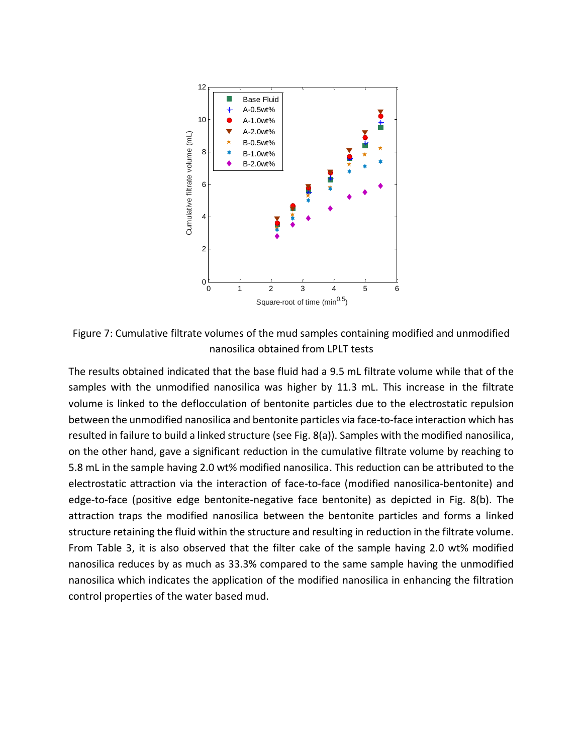

Figure 7: Cumulative filtrate volumes of the mud samples containing modified and unmodified nanosilica obtained from LPLT tests

The results obtained indicated that the base fluid had a 9.5 mL filtrate volume while that of the samples with the unmodified nanosilica was higher by 11.3 mL. This increase in the filtrate volume is linked to the deflocculation of bentonite particles due to the electrostatic repulsion between the unmodified nanosilica and bentonite particles via face-to-face interaction which has resulted in failure to build a linked structure (see Fig. 8(a)). Samples with the modified nanosilica, on the other hand, gave a significant reduction in the cumulative filtrate volume by reaching to 5.8 mL in the sample having 2.0 wt% modified nanosilica. This reduction can be attributed to the electrostatic attraction via the interaction of face-to-face (modified nanosilica-bentonite) and edge-to-face (positive edge bentonite-negative face bentonite) as depicted in Fig. 8(b). The attraction traps the modified nanosilica between the bentonite particles and forms a linked structure retaining the fluid within the structure and resulting in reduction in the filtrate volume. From Table 3, it is also observed that the filter cake of the sample having 2.0 wt% modified nanosilica reduces by as much as 33.3% compared to the same sample having the unmodified nanosilica which indicates the application of the modified nanosilica in enhancing the filtration control properties of the water based mud.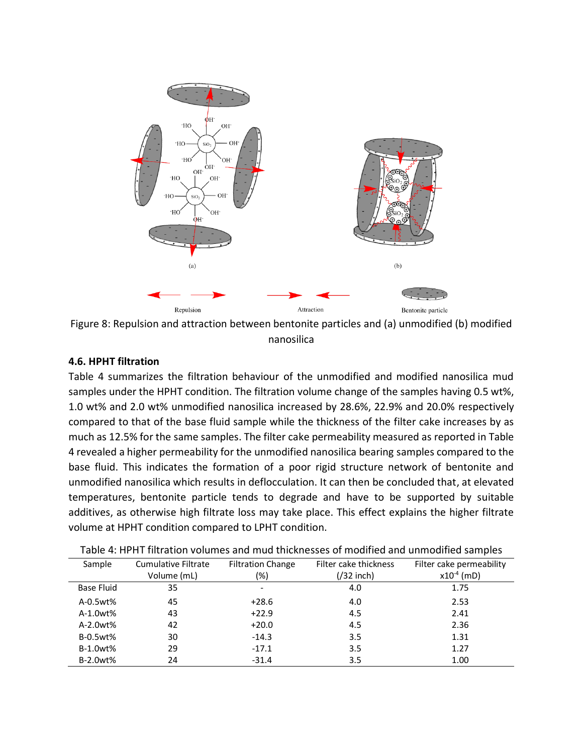

Figure 8: Repulsion and attraction between bentonite particles and (a) unmodified (b) modified nanosilica

## **4.6. HPHT filtration**

Table 4 summarizes the filtration behaviour of the unmodified and modified nanosilica mud samples under the HPHT condition. The filtration volume change of the samples having 0.5 wt%, 1.0 wt% and 2.0 wt% unmodified nanosilica increased by 28.6%, 22.9% and 20.0% respectively compared to that of the base fluid sample while the thickness of the filter cake increases by as much as 12.5% for the same samples. The filter cake permeability measured as reported in Table 4 revealed a higher permeability for the unmodified nanosilica bearing samples compared to the base fluid. This indicates the formation of a poor rigid structure network of bentonite and unmodified nanosilica which results in deflocculation. It can then be concluded that, at elevated temperatures, bentonite particle tends to degrade and have to be supported by suitable additives, as otherwise high filtrate loss may take place. This effect explains the higher filtrate volume at HPHT condition compared to LPHT condition.

| Sample            | <b>Cumulative Filtrate</b><br>Volume (mL) | <b>Filtration Change</b><br>(%) | Filter cake thickness<br>$\frac{1}{32}$ inch) | Filter cake permeability<br>$x10^{-4}$ (mD) |
|-------------------|-------------------------------------------|---------------------------------|-----------------------------------------------|---------------------------------------------|
| <b>Base Fluid</b> | 35                                        | $\overline{\phantom{a}}$        | 4.0                                           | 1.75                                        |
| A-0.5wt%          | 45                                        | $+28.6$                         | 4.0                                           | 2.53                                        |
| A-1.0wt%          | 43                                        | $+22.9$                         | 4.5                                           | 2.41                                        |
| A-2.0wt%          | 42                                        | $+20.0$                         | 4.5                                           | 2.36                                        |
| B-0.5wt%          | 30                                        | $-14.3$                         | 3.5                                           | 1.31                                        |
| B-1.0wt%          | 29                                        | $-17.1$                         | 3.5                                           | 1.27                                        |
| B-2.0wt%          | 24                                        | $-31.4$                         | 3.5                                           | 1.00                                        |

Table 4: HPHT filtration volumes and mud thicknesses of modified and unmodified samples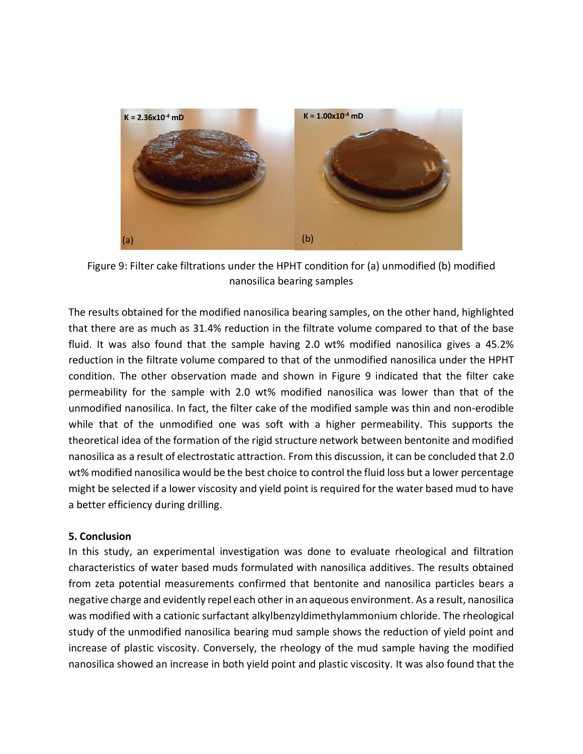

Figure 9: Filter cake filtrations under the HPHT condition for (a) unmodified (b) modified nanosilica bearing samples

The results obtained for the modified nanosilica bearing samples, on the other hand, highlighted that there are as much as 31.4% reduction in the filtrate volume compared to that of the base fluid. It was also found that the sample having 2.0 wt% modified nanosilica gives a 45.2% reduction in the filtrate volume compared to that of the unmodified nanosilica under the HPHT condition. The other observation made and shown in Figure 9 indicated that the filter cake permeability for the sample with 2.0 wt% modified nanosilica was lower than that of the unmodified nanosilica. In fact, the filter cake of the modified sample was thin and non-erodible while that of the unmodified one was soft with a higher permeability. This supports the theoretical idea of the formation of the rigid structure network between bentonite and modified nanosilica as a result of electrostatic attraction. From this discussion, it can be concluded that 2.0 wt% modified nanosilica would be the best choice to control the fluid loss but a lower percentage might be selected if a lower viscosity and yield point is required for the water based mud to have a better efficiency during drilling.

#### **5. Conclusion**

In this study, an experimental investigation was done to evaluate rheological and filtration characteristics of water based muds formulated with nanosilica additives. The results obtained from zeta potential measurements confirmed that bentonite and nanosilica particles bears a negative charge and evidently repel each other in an aqueous environment. As a result, nanosilica was modified with a cationic surfactant alkylbenzyldimethylammonium chloride. The rheological study of the unmodified nanosilica bearing mud sample shows the reduction of yield point and increase of plastic viscosity. Conversely, the rheology of the mud sample having the modified nanosilica showed an increase in both yield point and plastic viscosity. It was also found that the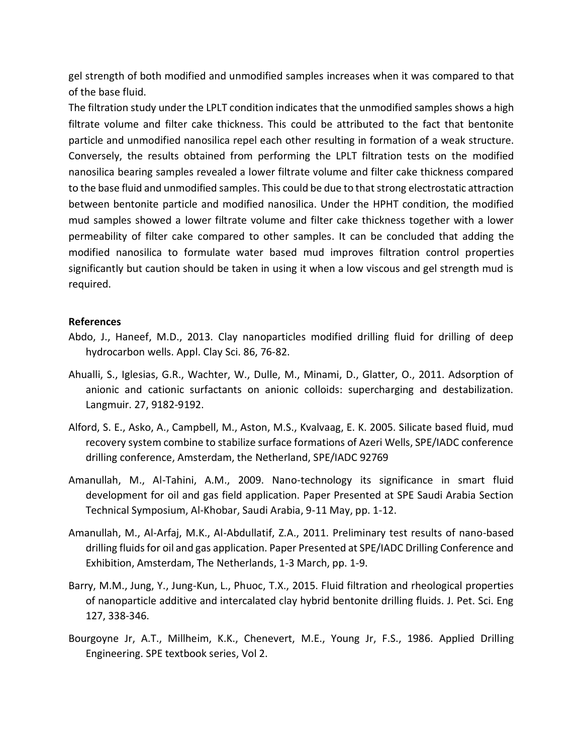gel strength of both modified and unmodified samples increases when it was compared to that of the base fluid.

The filtration study under the LPLT condition indicates that the unmodified samples shows a high filtrate volume and filter cake thickness. This could be attributed to the fact that bentonite particle and unmodified nanosilica repel each other resulting in formation of a weak structure. Conversely, the results obtained from performing the LPLT filtration tests on the modified nanosilica bearing samples revealed a lower filtrate volume and filter cake thickness compared to the base fluid and unmodified samples. This could be due to that strong electrostatic attraction between bentonite particle and modified nanosilica. Under the HPHT condition, the modified mud samples showed a lower filtrate volume and filter cake thickness together with a lower permeability of filter cake compared to other samples. It can be concluded that adding the modified nanosilica to formulate water based mud improves filtration control properties significantly but caution should be taken in using it when a low viscous and gel strength mud is required.

#### **References**

- Abdo, J., Haneef, M.D., 2013. Clay nanoparticles modified drilling fluid for drilling of deep hydrocarbon wells. Appl. Clay Sci. 86, 76-82.
- Ahualli, S., Iglesias, G.R., Wachter, W., Dulle, M., Minami, D., Glatter, O., 2011. Adsorption of anionic and cationic surfactants on anionic colloids: supercharging and destabilization. Langmuir. 27, 9182-9192.
- Alford, S. E., Asko, A., Campbell, M., Aston, M.S., Kvalvaag, E. K. 2005. Silicate based fluid, mud recovery system combine to stabilize surface formations of Azeri Wells, SPE/IADC conference drilling conference, Amsterdam, the Netherland, SPE/IADC 92769
- Amanullah, M., Al-Tahini, A.M., 2009. Nano-technology its significance in smart fluid development for oil and gas field application. Paper Presented at SPE Saudi Arabia Section Technical Symposium, Al-Khobar, Saudi Arabia, 9-11 May, pp. 1-12.
- Amanullah, M., Al-Arfaj, M.K., Al-Abdullatif, Z.A., 2011. Preliminary test results of nano-based drilling fluids for oil and gas application. Paper Presented at SPE/IADC Drilling Conference and Exhibition, Amsterdam, The Netherlands, 1-3 March, pp. 1-9.
- Barry, M.M., Jung, Y., Jung-Kun, L., Phuoc, T.X., 2015. Fluid filtration and rheological properties of nanoparticle additive and intercalated clay hybrid bentonite drilling fluids. J. Pet. Sci. Eng 127, 338-346.
- Bourgoyne Jr, A.T., Millheim, K.K., Chenevert, M.E., Young Jr, F.S., 1986. Applied Drilling Engineering. SPE textbook series, Vol 2.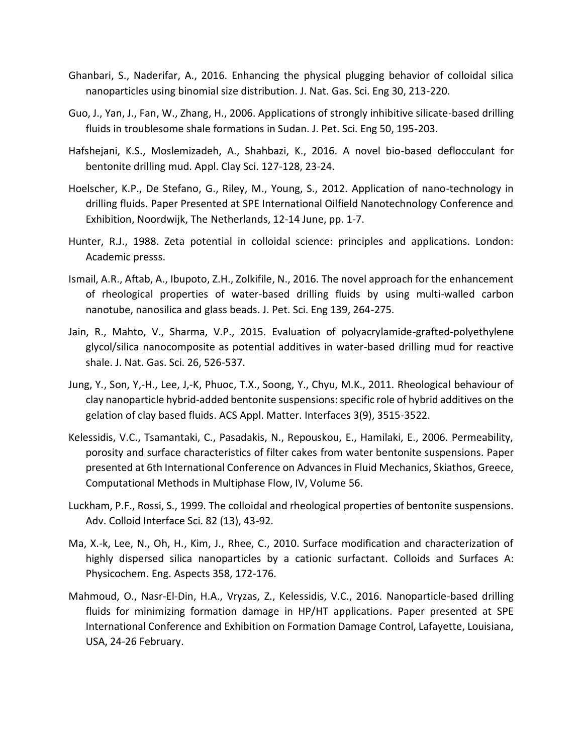- Ghanbari, S., Naderifar, A., 2016. Enhancing the physical plugging behavior of colloidal silica nanoparticles using binomial size distribution. J. Nat. Gas. Sci. Eng 30, 213-220.
- Guo, J., Yan, J., Fan, W., Zhang, H., 2006. Applications of strongly inhibitive silicate-based drilling fluids in troublesome shale formations in Sudan. J. Pet. Sci. Eng 50, 195-203.
- Hafshejani, K.S., Moslemizadeh, A., Shahbazi, K., 2016. A novel bio-based deflocculant for bentonite drilling mud. Appl. Clay Sci. 127-128, 23-24.
- Hoelscher, K.P., De Stefano, G., Riley, M., Young, S., 2012. Application of nano-technology in drilling fluids. Paper Presented at SPE International Oilfield Nanotechnology Conference and Exhibition, Noordwijk, The Netherlands, 12-14 June, pp. 1-7.
- Hunter, R.J., 1988. Zeta potential in colloidal science: principles and applications. London: Academic presss.
- Ismail, A.R., Aftab, A., Ibupoto, Z.H., Zolkifile, N., 2016. The novel approach for the enhancement of rheological properties of water-based drilling fluids by using multi-walled carbon nanotube, nanosilica and glass beads. J. Pet. Sci. Eng 139, 264-275.
- Jain, R., Mahto, V., Sharma, V.P., 2015. Evaluation of polyacrylamide-grafted-polyethylene glycol/silica nanocomposite as potential additives in water-based drilling mud for reactive shale. J. Nat. Gas. Sci. 26, 526-537.
- Jung, Y., Son, Y,-H., Lee, J,-K, Phuoc, T.X., Soong, Y., Chyu, M.K., 2011. Rheological behaviour of clay nanoparticle hybrid-added bentonite suspensions: specific role of hybrid additives on the gelation of clay based fluids. ACS Appl. Matter. Interfaces 3(9), 3515-3522.
- Kelessidis, V.C., Tsamantaki, C., Pasadakis, N., Repouskou, E., Hamilaki, E., 2006. Permeability, porosity and surface characteristics of filter cakes from water bentonite suspensions. Paper presented at 6th International Conference on Advances in Fluid Mechanics, Skiathos, Greece, Computational Methods in Multiphase Flow, IV, Volume 56.
- Luckham, P.F., Rossi, S., 1999. The colloidal and rheological properties of bentonite suspensions. Adv. Colloid Interface Sci. 82 (13), 43-92.
- Ma, X.-k, Lee, N., Oh, H., Kim, J., Rhee, C., 2010. Surface modification and characterization of highly dispersed silica nanoparticles by a cationic surfactant. Colloids and Surfaces A: Physicochem. Eng. Aspects 358, 172-176.
- Mahmoud, O., Nasr-El-Din, H.A., Vryzas, Z., Kelessidis, V.C., 2016. Nanoparticle-based drilling fluids for minimizing formation damage in HP/HT applications. Paper presented at SPE International Conference and Exhibition on Formation Damage Control, Lafayette, Louisiana, USA, 24-26 February.